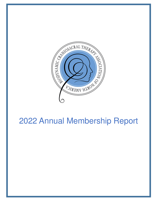

# 2022 Annual Membership Report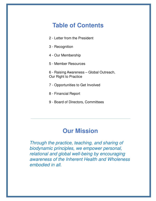# **Table of Contents**

- 2 Letter from the President
- 3 Recognition
- 4 Our Membership
- 5 Member Resources
- 6 Raising Awareness Global Outreach, Our Right to Practice
- 7 Opportunities to Get Involved
- 8 Financial Report
- 9 Board of Directors, Committees

# **Our Mission**

Through the practice, teaching, and sharing of biodynamic principles, we empower personal, relational and global well-being by encouraging awareness of the Inherent Health and Wholeness embodied in all.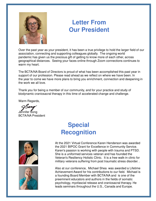

# **Letter From Our President**

Over the past year as your president, it has been a true privilege to hold the larger field of our association, connecting and supporting colleagues globally. The ongoing world pandemic has given us the precious gift of getting to know more of each other, across geographical distances. Seeing your faces online through Zoom connections continues to warm my heart.

The BCTA/NA Board of Directors is proud of what has been accomplished this past year in support of our profession. Please read ahead as we reflect on where we have been. In the year to come we have more plans to bring you enrichment, connection and deepening in the work we all love.

Thank you for being a member of our community, and for your practice and study of biodynamic craniosacral therapy in this time of accelerated change and challenge.

Warm Regards,

Jennifer Song BCTA/NA President

# **Special Recognition**





At the 2021 Virtual Conference Karen Henderson was awarded the 2021 BIPOC Grant for Excellence in Community Service. Karen's passion is working with people with trauma and PTSD. She is a uniformed services veteran and has founded the Veteran's Resiliency Holistic Clinic. It is a free walk-in clinic for military veterans suffering from post traumatic stress disorder. .

Also at our conference, Michael Shea was awarded a Lifetime Achievement Award for his contributions to our field. Michael is a founding Board Member with BCTA/NA and is one of the preeminent educators and authors in the fields of somatic psychology, myofascial release and craniosacral therapy. He leads seminars throughout the U.S., Canada and Europe.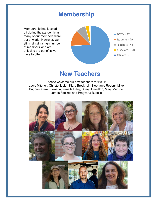### **Membership**

Membership has leveled off during the pandemic as many of our members were out of work. However, we still maintain a high number of members who are enjoying the benefits we have to offer.



### **New Teachers**

Please welcome our new teachers for 2021! Lucie Mitchell, Christel Libiot, Kjara Brecknell, Stephanie Rogers, Mike Duggan, Sarah Lawson, Vanella Lilley, Sheryl Hamilton, Mary Maruca, James Foulkes and Pragyana Buzollo

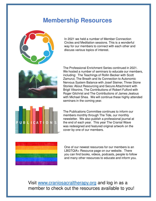# **Membership Resources**



In 2021 we held a number of Member Connection Circles and Meditation sessions. This is a wonderful way for our members to connect with each other and discuss various topics of interest.



The Professional Enrichment Series continued in 2021. We hosted a number of seminars to educate our members, including: The Teachings of Rollin Becker with Scott Zamurut, The Breath and its Connection to Autonomic Nervous System Balance with Josef Steiner, Three Stone Stories: About Resourcing and Secure Attachment with Brigit Viksnins, The Contributions of Robert Fulford with Roger Gilchrist and The Contributions of James Jealous with Michael Shea. We will continue these highly attended seminars in the coming year.



The Publications Committee continues to inform our members monthly through The Tide, our monthly newsletter. We also publish a professional journal at the end of each year. This year The Cranial Wave was redesigned and featured original artwork on the cover by one of our members.



One of our newest resources for our members is an LBGTQIA+ Resource page on our website. There you can find books, videos, podcasts, people to follow and many other resources to educate and inform you.

#### Visit www.craniosacraltherapy.org and log in as a member to check out the resources available to you!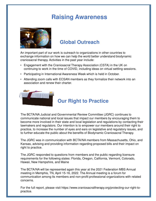# **Raising Awareness**



#### **Global Outreach**

An important part of our work is outreach to organizations in other countries to exchange information on how we can help the world better understand biodynamic craniosacral therapy. Activities in the past year include:

- Engagement with the Craniosacral Therapy Association (CSTA) in the UK on continuing to work in the time of COVID, including ideas on virtual settling sessions.
- Participating in International Awareness Week which is held in October.
- Attending zoom calls with ECSAN members as they formalize their network into an association and renew their charter.



# **Our Right to Practice**

The BCTA/NA Judicial and Governmental Review Committee (JGRC) continues to communicate national and local issues that impact our members by encouraging them to become more involved in their state and local legislation and regulations by contacting their lawmakers and regulators. Our intention is to empower our members around their right to practice, to increase the number of eyes and ears on legislative and regulatory issues, and to further educate the public about the benefits of Biodynamic Craniosacral Therapy.

The JGRC was in communication with BCTA/NA members from Massachusetts, Ohio, and Kansas, advising and providing information regarding proposed bills and their impact on right to practice.

The JGRC responded to questions from members and the public regarding licensure requirements for the following states: Florida, Oregon, California, Vermont, Colorado, Hawaii, New Hampshire, and Maine

The BCTA/NA will be represented again this year at the 2021 Federation MBS Annual meeting in Memphis, TN, April 15-16, 2022. The Annual meeting is a forum for communication among its members and non-profit professional organizations with related concerns.

For the full report, please visit https://www.craniosacraltherapy.org/protecting-our-right-topractice.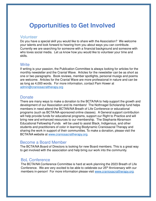# **Opportunities to Get Involved**

#### Volunteer

Do you have a special skill you would like to share with the Association? We welcome your talents and look forward to hearing from you about ways you can contribute. Currently we are searching for someone with a financial background and someone with who loves social media. Let us know how you would like to volunteer your time and skills.

#### **Write**

If writing is your passion, the Publication Committee is always looking for articles for the monthly newsletter and the Cranial Wave. Articles for the newsletter can be as short as one or two paragraphs. Book reviews, member spotlights, personal musigs and poems are welcome. Articles for the Cranial Wave are more professional in nature and can be as long as 4,000 words. For more information, contact Pam Hower at admin@craniosacraltherapy.org

#### **Donate**

Dorrate<br>There are many ways to make a donation to the BCTA/NA to help support the growth and development of our Association and its members! The Nothnagel Scholarship fund helps members in need attend the BCTAN/NA Breath of Life Conference or educational programs (such as BCTA/NA-sponsored online classes). A General support contribution will help provide funds for educational programs, support our Right to Practice and will bring new and enhanced resources to our membership. The Stephanie Abramson Educational Fellowship Funds will be used to assist Black, Indigenous, and other students and practitioners of color in learning Biodynamic Craniosacral Therapy and sharing the work in support of their communities. To make a donation, please visit the BCTA/NA website at www.craniosacraltherapy.org.

#### Become a Board Member

The BCTA/NA Board of Directors is looking for new Board members. This is a great way to get involved with the association and help bring our work into the community.

#### BoL Conference

The BCTA/NA Conference Committee is hard at work planning the 2023 Breath of Life Conference. We are very excited to be able to celebrate our 25<sup>th</sup> Anniversary with our members in-person! For more information please visit www.craniosacraltherapy.org.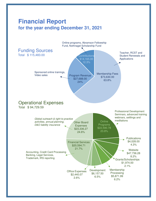### **Financial Report for the year ending December 31, 2021**